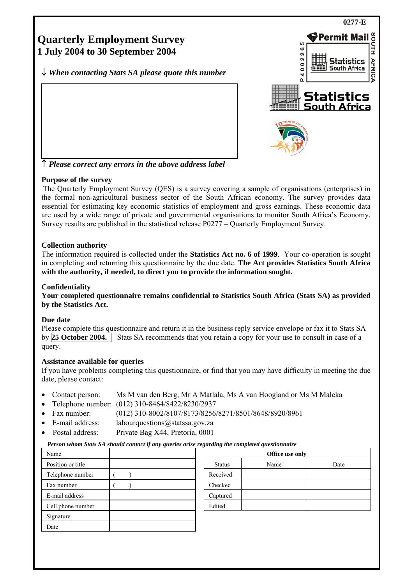

# **Purpose of the survey**

The Quarterly Employment Survey (QES) is a survey covering a sample of organisations (enterprises) in the formal non-agricultural business sector of the South African economy. The survey provides data essential for estimating key economic statistics of employment and gross earnings. These economic data are used by a wide range of private and governmental organisations to monitor South Africa's Economy. Survey results are published in the statistical release P0277 – Quarterly Employment Survey.

### **Collection authority**

The information required is collected under the **Statistics Act no. 6 of 1999**. Your co-operation is sought in completing and returning this questionnaire by the due date. **The Act provides Statistics South Africa with the authority, if needed, to direct you to provide the information sought.**

### **Confidentiality**

**Your completed questionnaire remains confidential to Statistics South Africa (Stats SA) as provided by the Statistics Act.** 

#### **Due date**

Please complete this questionnaire and return it in the business reply service envelope or fax it to Stats SA by **25 October 2004.** Stats SA recommends that you retain a copy for your use to consult in case of a query.

#### **Assistance available for queries**

If you have problems completing this questionnaire, or find that you may have difficulty in meeting the due date, please contact:

- Contact person: Ms M van den Berg, Mr A Matlala, Ms A van Hoogland or Ms M Maleka
- Telephone number: (012) 310-8464/8422/8230/2937
- Fax number: (012) 310-8002/8107/8173/8256/8271/8501/8648/8920/8961
- E-mail address: labourquestions@statssa.gov.za
- Postal address: Private Bag X44, Pretoria, 0001

#### *Person whom Stats SA should contact if any queries arise regarding the completed questionnaire*

| Name              |  | Office use only |      |      |  |
|-------------------|--|-----------------|------|------|--|
| Position or title |  | <b>Status</b>   | Name | Date |  |
| Telephone number  |  | Received        |      |      |  |
| Fax number        |  | Checked         |      |      |  |
| E-mail address    |  | Captured        |      |      |  |
| Cell phone number |  | Edited          |      |      |  |
| Signature         |  |                 |      |      |  |
| Date              |  |                 |      |      |  |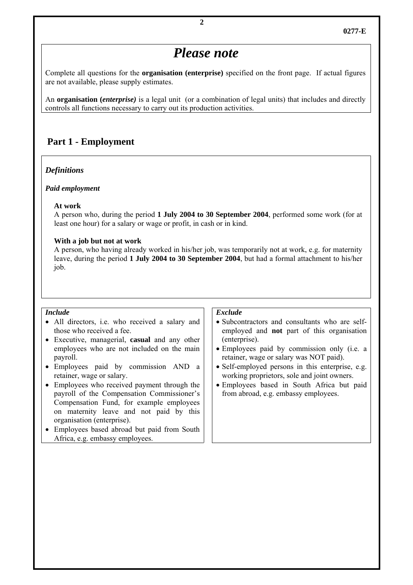# *Please note*

Complete all questions for the **organisation (enterprise)** specified on the front page. If actual figures are not available, please supply estimates.

An **organisation (***enterprise)* is a legal unit (or a combination of legal units) that includes and directly controls all functions necessary to carry out its production activities.

# **Part 1 - Employment**

#### *Definitions*

#### *Paid employment*

#### **At work**

 A person who, during the period **1 July 2004 to 30 September 2004**, performed some work (for at least one hour) for a salary or wage or profit, in cash or in kind.

#### **With a job but not at work**

 A person, who having already worked in his/her job, was temporarily not at work, e.g. for maternity leave, during the period **1 July 2004 to 30 September 2004**, but had a formal attachment to his/her job.

#### *Include*

- All directors, i.e. who received a salary and those who received a fee.
- Executive, managerial, **casual** and any other employees who are not included on the main payroll.
- Employees paid by commission AND a retainer, wage or salary.
- Employees who received payment through the payroll of the Compensation Commissioner's Compensation Fund, for example employees on maternity leave and not paid by this organisation (enterprise).
- Employees based abroad but paid from South Africa, e.g. embassy employees.

#### *Exclude*

- Subcontractors and consultants who are selfemployed and **not** part of this organisation (enterprise).
- Employees paid by commission only (i.e. a retainer, wage or salary was NOT paid).
- Self-employed persons in this enterprise, e.g. working proprietors, sole and joint owners.
- Employees based in South Africa but paid from abroad, e.g. embassy employees.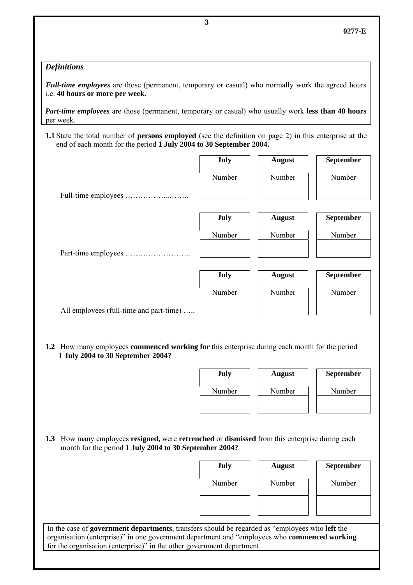# *Definitions*

*Full-time employees* are those (permanent, temporary or casual) who normally work the agreed hours i.e. **40 hours or more per week.**

*Part-time employees* are those (permanent, temporary or casual) who usually work **less than 40 hours** per week.

**1.1** State the total number of **persons employed** (see the definition on page 2) in this enterprise at the end of each month for the period **1 July 2004 to 30 September 2004.**

|                                         | July   | <b>August</b> | September |
|-----------------------------------------|--------|---------------|-----------|
|                                         | Number | Number        | Number    |
|                                         |        |               |           |
|                                         | July   | <b>August</b> | September |
|                                         | Number | Number        | Number    |
|                                         |        |               |           |
|                                         | July   | <b>August</b> | September |
|                                         | Number | Number        | Number    |
| All employees (full-time and part-time) |        |               |           |

**1.2** How many employees **commenced working for** this enterprise during each month for the period  **1 July 2004 to 30 September 2004?** 

| <b>July</b> | <b>August</b> | <b>September</b> |
|-------------|---------------|------------------|
| Number      | Number        | Number           |
|             |               |                  |

**1.3** How many employees **resigned,** were **retrenched** or **dismissed** from this enterprise during each month for the period **1 July 2004 to 30 September 2004?** 

| July   | <b>August</b> | September |
|--------|---------------|-----------|
| Number | Number        | Number    |
|        |               |           |

In the case of **government departments**, transfers should be regarded as "employees who **left** the organisation (enterprise)" in one government department and "employees who **commenced working** for the organisation (enterprise)" in the other government department.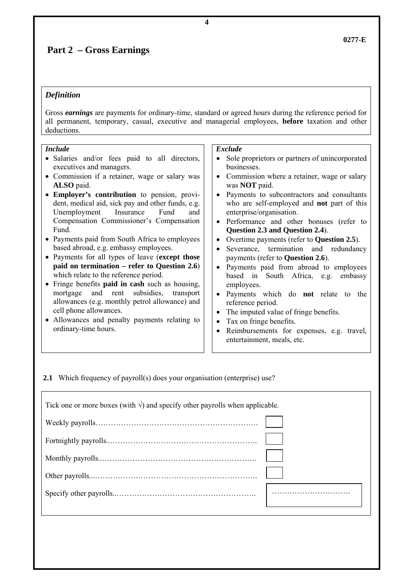# **Part 2 – Gross Earnings**

# *Definition*

Gross *earnings* are payments for ordinary-time, standard or agreed hours during the reference period for all permanent, temporary, casual, executive and managerial employees, **before** taxation and other deductions.

| <i>Include</i>           |  |  |                                               |
|--------------------------|--|--|-----------------------------------------------|
|                          |  |  | • Salaries and/or fees paid to all directors, |
| executives and managers. |  |  |                                               |

- Commission if a retainer, wage or salary was **ALSO** paid.
- **Employer's contribution** to pension, provident, medical aid, sick pay and other funds, e.g. Unemployment Insurance Fund and Compensation Commissioner's Compensation Fund.
- Payments paid from South Africa to employees based abroad, e.g. embassy employees.
- Payments for all types of leave (**except those paid on termination – refer to Question 2.6**) which relate to the reference period.
- Fringe benefits **paid in cash** such as housing, mortgage and rent subsidies, transport allowances (e.g. monthly petrol allowance) and cell phone allowances.
- Allowances and penalty payments relating to ordinary-time hours.

#### *Exclude*

- Sole proprietors or partners of unincorporated businesses.
- Commission where a retainer, wage or salary was **NOT** paid.
- Payments to subcontractors and consultants who are self-employed and **not** part of this enterprise/organisation.
- Performance and other bonuses (refer to **Question 2.3 and Question 2.4**).
- Overtime payments (refer to **Question 2.5**).
- Severance, termination and redundancy payments (refer to **Question 2.6**).
- Payments paid from abroad to employees based in South Africa, e.g. embassy employees.
- Payments which do **not** relate to the reference period.
- The imputed value of fringe benefits.
- Tax on fringe benefits.
- Reimbursements for expenses, e.g. travel, entertainment, meals, etc.

**2.1** Which frequency of payroll(s) does your organisation (enterprise) use?

| Tick one or more boxes (with $\sqrt{ }$ ) and specify other payrolls when applicable. |  |  |  |  |
|---------------------------------------------------------------------------------------|--|--|--|--|
|                                                                                       |  |  |  |  |
|                                                                                       |  |  |  |  |
|                                                                                       |  |  |  |  |
|                                                                                       |  |  |  |  |
|                                                                                       |  |  |  |  |
|                                                                                       |  |  |  |  |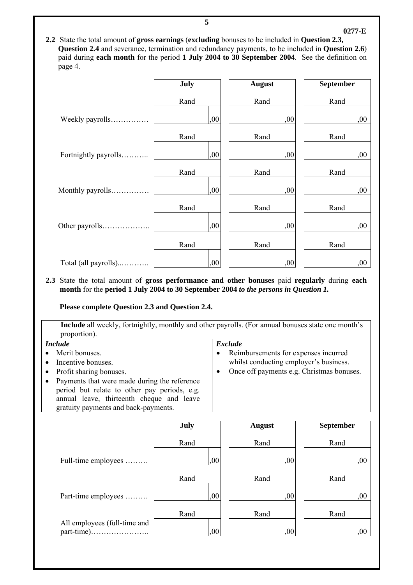**2.2** State the total amount of **gross earnings** (**excluding** bonuses to be included in **Question 2.3, Question 2.4** and severance, termination and redundancy payments, to be included in **Question 2.6**) paid during **each month** for the period **1 July 2004 to 30 September 2004**. See the definition on page 4.

|                      | July | <b>August</b> | September |
|----------------------|------|---------------|-----------|
|                      | Rand | Rand          | Rand      |
| Weekly payrolls      | ,00  | ,00           | ,00       |
|                      | Rand | Rand          | Rand      |
| Fortnightly payrolls | ,00  | ,00           | ,00       |
|                      | Rand | Rand          | Rand      |
| Monthly payrolls     | ,00  | ,00           | ,00       |
|                      | Rand | Rand          | Rand      |
| Other payrolls       | ,00  | ,00           | ,00       |
|                      | Rand | Rand          | Rand      |
| Total (all payrolls) | ,00  | ,00           | ,00       |

#### **2.3** State the total amount of **gross performance and other bonuses** paid **regularly** during **each month** for the **period 1 July 2004 to 30 September 2004** *to the persons in Question 1.*

**Please complete Question 2.3 and Question 2.4.** 

| <b>Include</b> all weekly, fortnightly, monthly and other payrolls. (For annual bonuses state one month's<br>proportion). |  |  |  |  |
|---------------------------------------------------------------------------------------------------------------------------|--|--|--|--|
| <b>Exclude</b><br><i>Include</i>                                                                                          |  |  |  |  |
| Reimburgements for expenses incurred<br>$\bullet$ Merit homices                                                           |  |  |  |  |

- Merit bonuses.
- Incentive bonuses.
- Profit sharing bonuses.
- Payments that were made during the reference period but relate to other pay periods, e.g. annual leave, thirteenth cheque and leave gratuity payments and back-payments.
- Reimbursements for expenses incurred whilst conducting employer's business.
- Once off payments e.g. Christmas bonuses.

**0277-E**

|                              | July | <b>August</b> | September |
|------------------------------|------|---------------|-----------|
|                              | Rand | Rand          | Rand      |
| Full-time employees          | ,00  | ,00           | ,00       |
|                              | Rand | Rand          | Rand      |
| Part-time employees          | ,00  | ,00           | 00        |
|                              | Rand | Rand          | Rand      |
| All employees (full-time and | ,00  | ,00           | .00.      |

**5**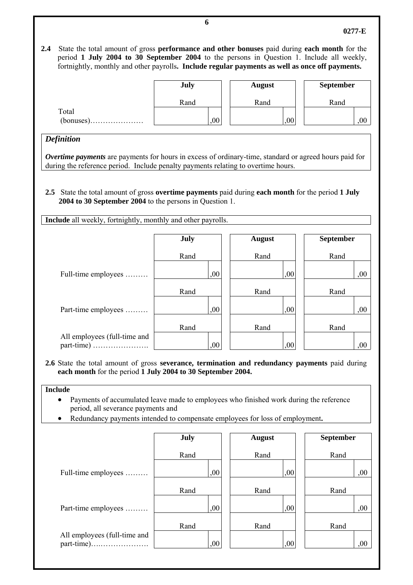**2.4** State the total amount of gross **performance and other bonuses** paid during **each month** for the period **1 July 2004 to 30 September 2004** to the persons in Question 1. Include all weekly,

|       | July | <b>August</b> | <b>September</b> |
|-------|------|---------------|------------------|
|       | Rand | Rand          | Rand             |
| Total | ,00  | 00,           | 00,              |

fortnightly, monthly and other payrolls**. Include regular payments as well as once off payments.**

## *Definition*

*Overtime payments* are payments for hours in excess of ordinary-time, standard or agreed hours paid for during the reference period. Include penalty payments relating to overtime hours.

**2.5** State the total amount of gross **overtime payments** paid during **each month** for the period **1 July 2004 to 30 September 2004** to the persons in Question 1.

**Include** all weekly, fortnightly, monthly and other payrolls.

|                                            | <b>July</b> | <b>August</b> | <b>September</b> |
|--------------------------------------------|-------------|---------------|------------------|
|                                            | Rand        | Rand          | Rand             |
| Full-time employees                        | ,00         | ,00           | ,00              |
|                                            | Rand        | Rand          | Rand             |
| Part-time employees                        | ,00         | ,00           | 00               |
|                                            | Rand        | Rand          | Rand             |
| All employees (full-time and<br>part-time) | ,00         | ,00           | 00,              |

**2.6** State the total amount of gross **severance, termination and redundancy payments** paid during **each month** for the period **1 July 2004 to 30 September 2004.**

## **Include**

- Payments of accumulated leave made to employees who finished work during the reference period, all severance payments and
- Redundancy payments intended to compensate employees for loss of employment**.**

|                              | <b>July</b> | <b>August</b> | <b>September</b> |
|------------------------------|-------------|---------------|------------------|
|                              | Rand        | Rand          | Rand             |
| Full-time employees          | 00,         | ,00           | ,00              |
|                              | Rand        | Rand          | Rand             |
| Part-time employees          | 00,         | ,00           | ,00              |
|                              | Rand        | Rand          | Rand             |
| All employees (full-time and | ,00         | ,00           | 00,              |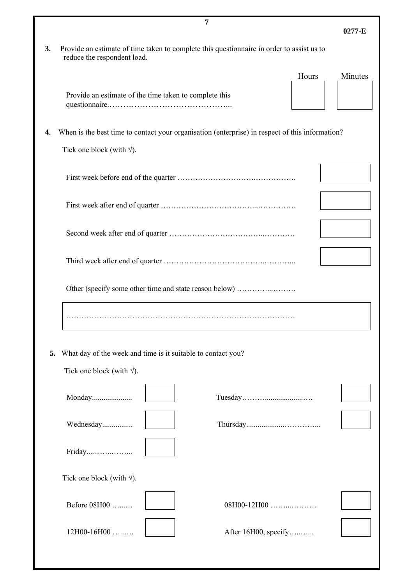|                                                                 | 7                                                                                                                                     |         |  |
|-----------------------------------------------------------------|---------------------------------------------------------------------------------------------------------------------------------------|---------|--|
|                                                                 |                                                                                                                                       | 0277-E  |  |
| 3.                                                              | Provide an estimate of time taken to complete this questionnaire in order to assist us to<br>reduce the respondent load.              |         |  |
|                                                                 | Hours                                                                                                                                 | Minutes |  |
|                                                                 |                                                                                                                                       |         |  |
|                                                                 | Provide an estimate of the time taken to complete this                                                                                |         |  |
|                                                                 |                                                                                                                                       |         |  |
| 4.                                                              | When is the best time to contact your organisation (enterprise) in respect of this information?<br>Tick one block (with $\sqrt{ }$ ). |         |  |
|                                                                 |                                                                                                                                       |         |  |
|                                                                 |                                                                                                                                       |         |  |
|                                                                 |                                                                                                                                       |         |  |
|                                                                 |                                                                                                                                       |         |  |
|                                                                 | Other (specify some other time and state reason below)                                                                                |         |  |
|                                                                 |                                                                                                                                       |         |  |
| 5. What day of the week and time is it suitable to contact you? |                                                                                                                                       |         |  |
| Tick one block (with $\sqrt{ }$ ).                              |                                                                                                                                       |         |  |
|                                                                 |                                                                                                                                       |         |  |
|                                                                 | Monday                                                                                                                                |         |  |
|                                                                 | Wednesday                                                                                                                             |         |  |
|                                                                 | Friday                                                                                                                                |         |  |
|                                                                 | Tick one block (with $\sqrt{ }$ ).                                                                                                    |         |  |
|                                                                 | Before 08H00<br>08H00-12H00                                                                                                           |         |  |
|                                                                 | 12H00-16H00<br>After 16H00, specify                                                                                                   |         |  |
|                                                                 |                                                                                                                                       |         |  |